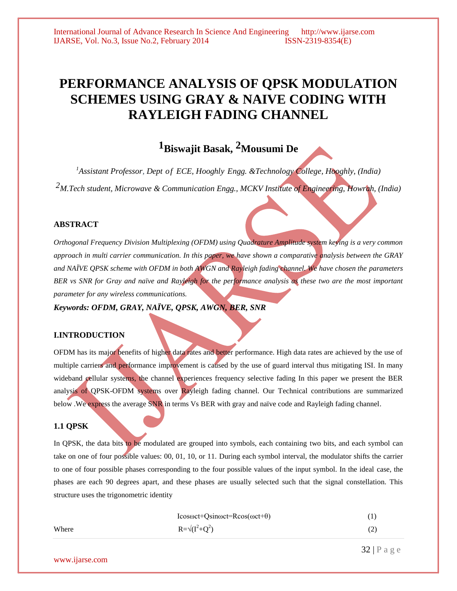# **PERFORMANCE ANALYSIS OF QPSK MODULATION SCHEMES USING GRAY & NAIVE CODING WITH RAYLEIGH FADING CHANNEL**

# **1Biswajit Basak, 2Mousumi De**

*<sup>1</sup>Assistant Professor, Dept of ECE, Hooghly Engg. &Technology College, Hooghly, (India) 2M.Tech student, Microwave & Communication Engg., MCKV Institute of Engineering, Howrah, (India)*

#### **ABSTRACT**

*Orthogonal Frequency Division Multiplexing (OFDM) using Quadrature Amplitude system keying is a very common approach in multi carrier communication. In this paper, we have shown a comparative analysis between the GRAY and NAÏVE QPSK scheme with OFDM in both AWGN and Rayleigh fading channel. We have chosen the parameters BER vs SNR for Gray and naïve and Rayleigh for the performance analysis as these two are the most important parameter for any wireless communications.* 

*Keywords: OFDM, GRAY, NAÏVE, QPSK, AWGN, BER, SNR*

#### **I.INTRODUCTION**

OFDM has its major benefits of higher data rates and better performance. High data rates are achieved by the use of multiple carriers and performance improvement is caused by the use of guard interval thus mitigating ISI. In many wideband cellular systems, the channel experiences frequency selective fading In this paper we present the BER analysis of QPSK-OFDM systems over Rayleigh fading channel. Our Technical contributions are summarized below .We express the average SNR in terms Vs BER with gray and naïve code and Rayleigh fading channel.

#### **1.1 QPSK**

In QPSK, the data bits to be modulated are grouped into symbols, each containing two bits, and each symbol can take on one of four possible values: 00, 01, 10, or 11. During each symbol interval, the modulator shifts the carrier to one of four possible phases corresponding to the four possible values of the input symbol. In the ideal case, the phases are each 90 degrees apart, and these phases are usually selected such that the signal constellation. This structure uses the trigonometric identity

|       | $Icos\omega ct + Qsin\omega ct = Rcos(\omega ct + \theta)$ | $^{(1)}$ |
|-------|------------------------------------------------------------|----------|
| Where | $R = \sqrt{(I^2 + Q^2)}$                                   | (2)      |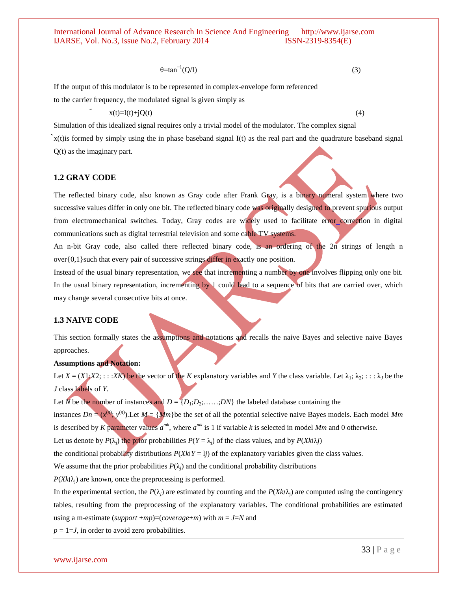$\theta = \tan^{-1}(Q/I)$  (3)

If the output of this modulator is to be represented in complex-envelope form referenced

to the carrier frequency, the modulated signal is given simply as

 $x(t)=I(t)+jQ(t)$  (4)

Simulation of this idealized signal requires only a trivial model of the modulator. The complex signal

̃x(t)is formed by simply using the in phase baseband signal I(t) as the real part and the quadrature baseband signal Q(t) as the imaginary part.

#### **1.2 GRAY CODE**

The reflected binary code, also known as Gray code after [Frank Gray,](http://en.wikipedia.org/wiki/Frank_Gray_%28researcher%29) is a [binary numeral system](http://en.wikipedia.org/wiki/Binary_numeral_system) where two successive values differ in only one [bit.](http://en.wikipedia.org/wiki/Bit) The reflected binary code was originally designed to prevent spurious output from [electromechanical](http://en.wikipedia.org/wiki/Electromechanical) [switches.](http://en.wikipedia.org/wiki/Switch) Today, Gray codes are widely used to facilitate error [correction](http://en.wikipedia.org/wiki/Error_correction) in digital communications such as [digital terrestrial television](http://en.wikipedia.org/wiki/Digital_terrestrial_television) and some [cable TV](http://en.wikipedia.org/wiki/DOCSIS) systems.

An n-bit Gray code, also called there reflected binary code, is an ordering of the 2n strings of length n over {0,1} such that every pair of successive strings differ in exactly one position.

Instead of the usual binary representation, we see that incrementing a number by one involves flipping only one bit. In the usual binary representation, incrementing by 1 could lead to a sequence of bits that are carried over, which may change several consecutive bits at once.

# **1.3 NAIVE CODE**

This section formally states the assumptions and notations and recalls the naive Bayes and selective naive Bayes approaches.

# **Assumptions and Notation:**

Let  $X = (X1;X2; \dots; XK)$  be the vector of the *K* explanatory variables and *Y* the class variable. Let  $\lambda_1; \lambda_2; \dots; \lambda_J$  be the *J* class labels of *Y*.

Let N be the number of instances and  $D = \{D_1; D_2; \ldots; D_N\}$  the labeled database containing the

instances  $Dn = (x^{(n)}; y^{(n)})$ . Let  $M = \{Mm\}$  be the set of all the potential selective naive Bayes models. Each model Mm is described by *K* parameter values  $a^{mk}$ , where  $a^{mk}$  is 1 if variable *k* is selected in model *Mm* and 0 otherwise.

Let us denote by  $P(\lambda_i)$  the prior probabilities  $P(Y = \lambda_i)$  of the class values, and by  $P(Xk|\lambda_i)$ 

the conditional probability distributions  $P(Xk|Y = 1j)$  of the explanatory variables given the class values.

We assume that the prior probabilities  $P(\lambda_i)$  and the conditional probability distributions

 $P(Xk|\lambda_i)$  are known, once the preprocessing is performed.

In the experimental section, the  $P(\lambda_i)$  are estimated by counting and the  $P(X_k/\lambda_i)$  are computed using the contingency tables, resulting from the preprocessing of the explanatory variables. The conditional probabilities are estimated using a m-estimate (*support* +*mp*)=(*coverage*+*m*) with  $m = J=N$  and

 $p = 1 = J$ , in order to avoid zero probabilities.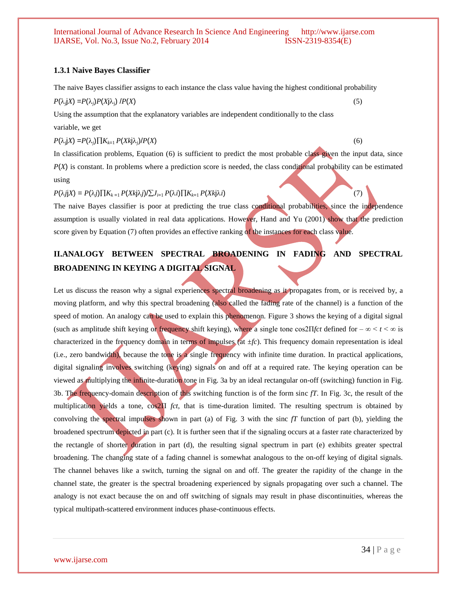#### **1.3.1 Naive Bayes Classifier**

The naive Bayes classifier assigns to each instance the class value having the highest conditional probability

 $P(\lambda_j|X) = P(\lambda_j)P(X|\lambda_j) / P(X)$  (5)

Using the assumption that the explanatory variables are independent conditionally to the class variable, we get

 $P(\lambda_j|X) = P(\lambda_j)\prod K_{k=1} P(Xk\lambda_j)/P(X)$  (6)

In classification problems, Equation (6) is sufficient to predict the most probable class given the input data, since *P*(*X*) is constant. In problems where a prediction score is needed, the class conditional probability can be estimated using

 $P(\lambda j|X) = P(\lambda j) \prod K_{k=1} P(Xk| \lambda j) / \sum J_{i=1} P(\lambda i) \prod K_{k=1} P(Xk| \lambda i)$  (7)

The naive Bayes classifier is poor at predicting the true class conditional probabilities, since the independence assumption is usually violated in real data applications. However, Hand and Yu (2001) show that the prediction score given by Equation (7) often provides an effective ranking of the instances for each class value.

# **II.ANALOGY BETWEEN SPECTRAL BROADENING IN FADING AND SPECTRAL BROADENING IN KEYING A DIGITAL SIGNAL**

Let us discuss the reason why a signal experiences spectral broadening as it propagates from, or is received by, a moving platform, and why this spectral broadening (also called the fading rate of the channel) is a function of the speed of motion. An analogy can be used to explain this phenomenon. Figure 3 shows the keying of a digital signal (such as amplitude shift keying or frequency shift keying), where a single tone cos2Π*fct* defined for – ∞ < *t* < ∞ is characterized in the frequency domain in terms of impulses (at  $\pm fc$ ). This frequency domain representation is ideal  $(i.e., zero bandwidth)$ , because the tone is a single frequency with infinite time duration. In practical applications, digital signaling involves switching (keying) signals on and off at a required rate. The keying operation can be viewed as multiplying the infinite-duration tone in Fig. 3a by an ideal rectangular on-off (switching) function in Fig. 3b. The frequency-domain description of this switching function is of the form sinc *fT*. In Fig. 3c, the result of the multiplication yields a tone, cos2Π *fct*, that is time-duration limited. The resulting spectrum is obtained by convolving the spectral impulses shown in part (a) of Fig. 3 with the sinc *fT* function of part (b), yielding the broadened spectrum depicted in part (c). It is further seen that if the signaling occurs at a faster rate characterized by the rectangle of shorter duration in part (d), the resulting signal spectrum in part (e) exhibits greater spectral broadening. The changing state of a fading channel is somewhat analogous to the on-off keying of digital signals. The channel behaves like a switch, turning the signal on and off. The greater the rapidity of the change in the channel state, the greater is the spectral broadening experienced by signals propagating over such a channel. The analogy is not exact because the on and off switching of signals may result in phase discontinuities, whereas the typical multipath-scattered environment induces phase-continuous effects.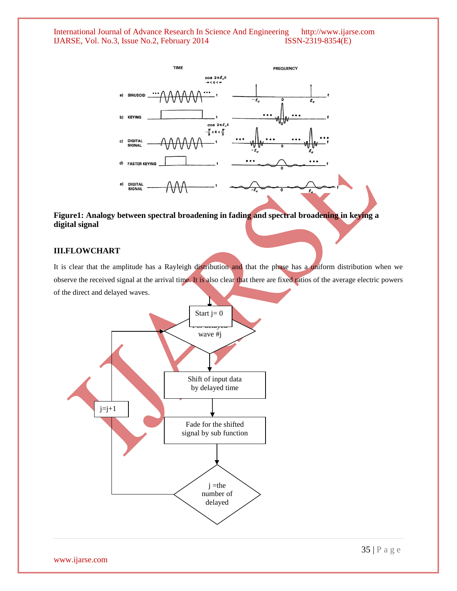

# **Figure1: Analogy between spectral broadening in fading and spectral broadening in keying a digital signal**

# **III.FLOWCHART**

It is clear that the amplitude has a Rayleigh distribution and that the phase has a uniform distribution when we observe the received signal at the arrival time. It is also clear that there are fixed ratios of the average electric powers of the direct and delayed waves.

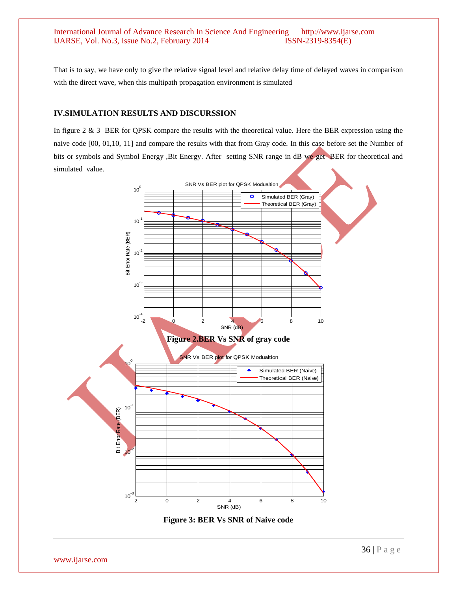That is to say, we have only to give the relative signal level and relative delay time of delayed waves in comparison with the direct wave, when this multipath propagation environment is simulated

# **IV.SIMULATION RESULTS AND DISCURSSION**

In figure 2 & 3 BER for QPSK compare the results with the theoretical value. Here the BER expression using the naive code [00, 01,10, 11] and compare the results with that from Gray code. In this case before set the Number of bits or symbols and Symbol Energy ,Bit Energy. After setting SNR range in dB we get BER for theoretical and simulated value.



**Figure 3: BER Vs SNR of Naive code**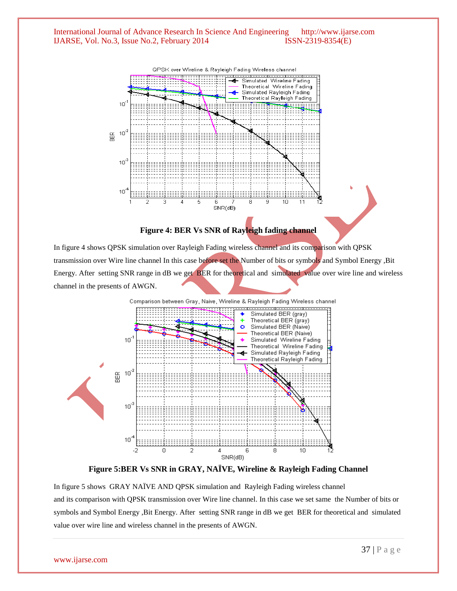

**Figure 4: BER Vs SNR of Rayleigh fading channel**

In figure 4 shows QPSK simulation over Rayleigh Fading wireless channel and its comparison with QPSK transmission over Wire line channel In this case before set the Number of bits or symbols and Symbol Energy ,Bit Energy. After setting SNR range in dB we get BER for theoretical and simulated value over wire line and wireless channel in the presents of AWGN.



**Figure 5:BER Vs SNR in GRAY, NAÏVE, Wireline & Rayleigh Fading Channel**

In figure 5 shows GRAY NAÏVE AND QPSK simulation and Rayleigh Fading wireless channel and its comparison with QPSK transmission over Wire line channel. In this case we set same the Number of bits or symbols and Symbol Energy ,Bit Energy. After setting SNR range in dB we get BER for theoretical and simulated value over wire line and wireless channel in the presents of AWGN.